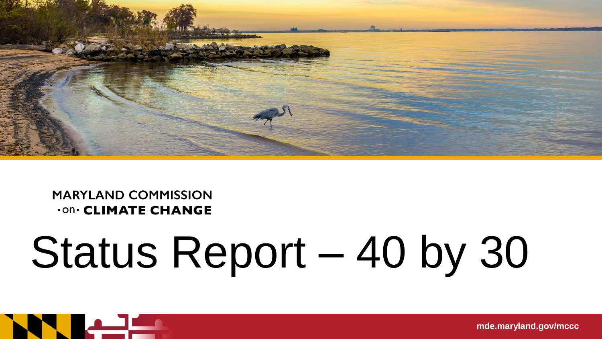

#### **MARYLAND COMMISSION .on. CLIMATE CHANGE**

# Status Report – 40 by 30



**mde.maryland.gov/mccc**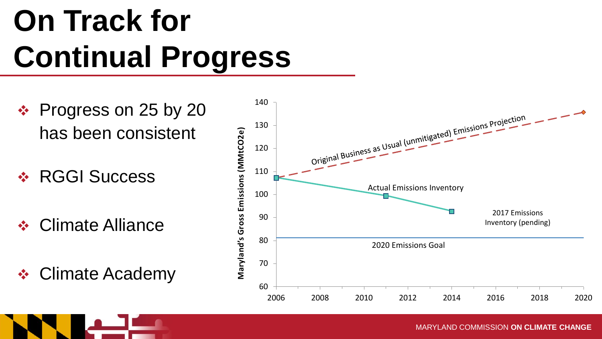### **On Track for Continual Progress**

- ❖ Progress on 25 by 20 has been consistent
- RGGI Success
- **❖ Climate Alliance**
- **❖ Climate Academy**

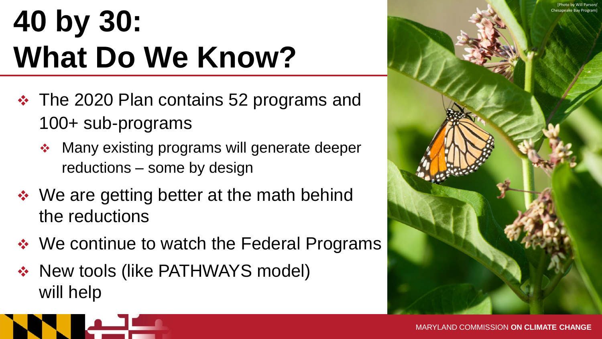### **40 by 30: What Do We Know?**

- The 2020 Plan contains 52 programs and 100+ sub-programs
	- **Many existing programs will generate deeper** reductions – some by design
- ◆ We are getting better at the math behind the reductions
- ❖ We continue to watch the Federal Programs
- ◆ New tools (like PATHWAYS model) will help

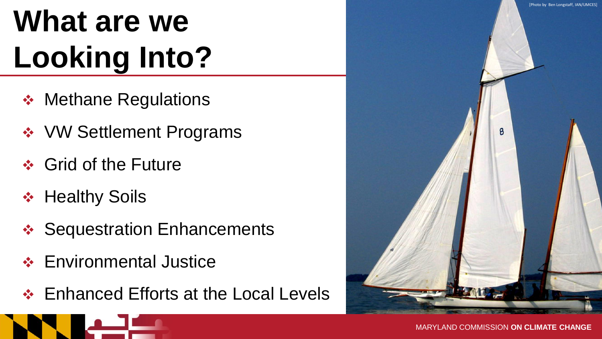## **What are we Looking Into?**

- ❖ Methane Regulations
- **❖ VW Settlement Programs**
- **❖ Grid of the Future**
- ❖ Healthy Soils
- ❖ Sequestration Enhancements
- **❖ Environmental Justice**
- **Enhanced Efforts at the Local Levels**